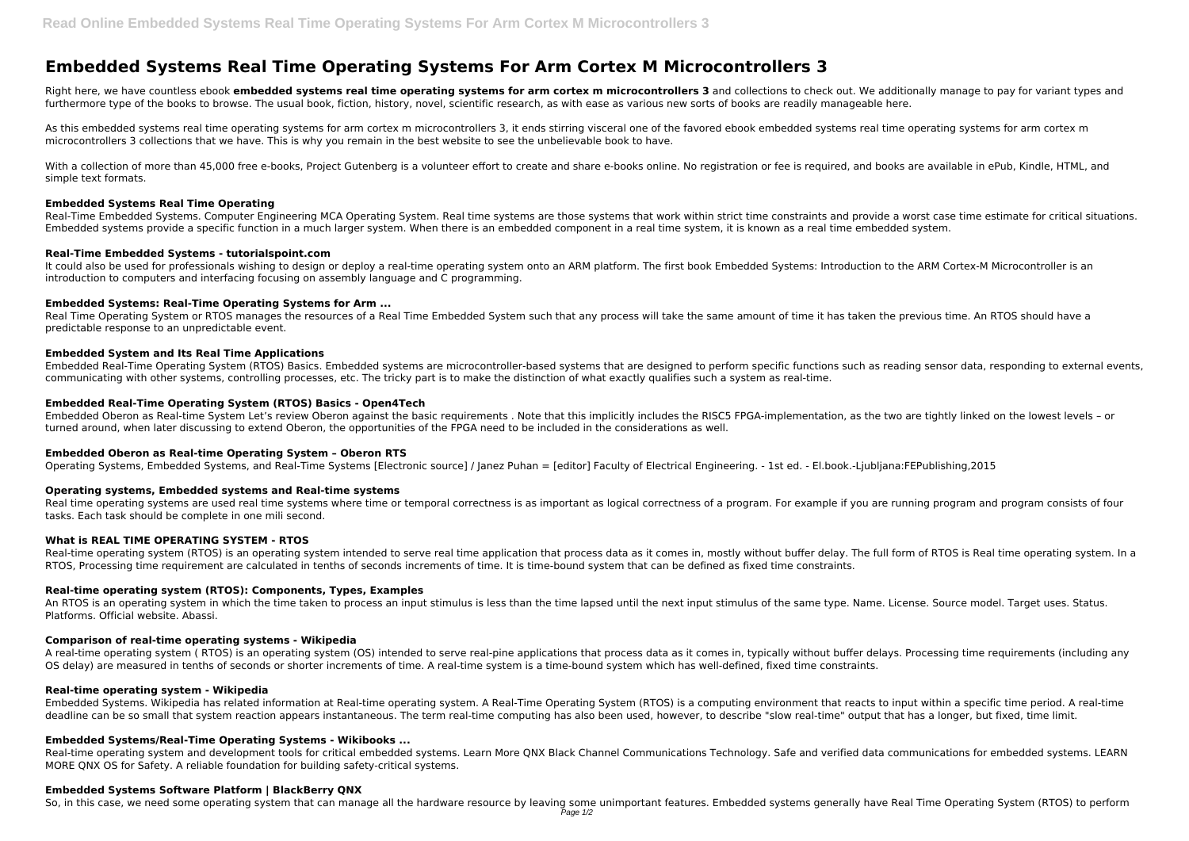# **Embedded Systems Real Time Operating Systems For Arm Cortex M Microcontrollers 3**

Right here, we have countless ebook embedded systems real time operating systems for arm cortex m microcontrollers 3 and collections to check out. We additionally manage to pay for variant types and furthermore type of the books to browse. The usual book, fiction, history, novel, scientific research, as with ease as various new sorts of books are readily manageable here.

As this embedded systems real time operating systems for arm cortex m microcontrollers 3, it ends stirring visceral one of the favored ebook embedded systems real time operating systems for arm cortex m microcontrollers 3 collections that we have. This is why you remain in the best website to see the unbelievable book to have.

With a collection of more than 45,000 free e-books, Project Gutenberg is a volunteer effort to create and share e-books online. No registration or fee is required, and books are available in ePub, Kindle, HTML, and simple text formats.

It could also be used for professionals wishing to design or deploy a real-time operating system onto an ARM platform. The first book Embedded Systems: Introduction to the ARM Cortex-M Microcontroller is an introduction to computers and interfacing focusing on assembly language and C programming.

Real Time Operating System or RTOS manages the resources of a Real Time Embedded System such that any process will take the same amount of time it has taken the previous time. An RTOS should have a predictable response to an unpredictable event.

#### **Embedded Systems Real Time Operating**

Real-Time Embedded Systems. Computer Engineering MCA Operating System. Real time systems are those systems that work within strict time constraints and provide a worst case time estimate for critical situations. Embedded systems provide a specific function in a much larger system. When there is an embedded component in a real time system, it is known as a real time embedded system.

### **Real-Time Embedded Systems - tutorialspoint.com**

Real time operating systems are used real time systems where time or temporal correctness is as important as logical correctness of a program. For example if you are running program and program consists of four tasks. Each task should be complete in one mili second.

### **Embedded Systems: Real-Time Operating Systems for Arm ...**

Real-time operating system (RTOS) is an operating system intended to serve real time application that process data as it comes in, mostly without buffer delay. The full form of RTOS is Real time operating system. In a RTOS, Processing time requirement are calculated in tenths of seconds increments of time. It is time-bound system that can be defined as fixed time constraints.

### **Embedded System and Its Real Time Applications**

Embedded Real-Time Operating System (RTOS) Basics. Embedded systems are microcontroller-based systems that are designed to perform specific functions such as reading sensor data, responding to external events, communicating with other systems, controlling processes, etc. The tricky part is to make the distinction of what exactly qualifies such a system as real-time.

### **Embedded Real-Time Operating System (RTOS) Basics - Open4Tech**

Embedded Oberon as Real-time System Let's review Oberon against the basic requirements . Note that this implicitly includes the RISC5 FPGA-implementation, as the two are tightly linked on the lowest levels – or turned around, when later discussing to extend Oberon, the opportunities of the FPGA need to be included in the considerations as well.

### **Embedded Oberon as Real-time Operating System – Oberon RTS**

Operating Systems, Embedded Systems, and Real-Time Systems [Electronic source] / Janez Puhan = [editor] Faculty of Electrical Engineering. - 1st ed. - El.book.-Ljubljana:FEPublishing,2015

### **Operating systems, Embedded systems and Real-time systems**

### **What is REAL TIME OPERATING SYSTEM - RTOS**

#### **Real-time operating system (RTOS): Components, Types, Examples**

An RTOS is an operating system in which the time taken to process an input stimulus is less than the time lapsed until the next input stimulus of the same type. Name. License. Source model. Target uses. Status. Platforms. Official website. Abassi.

## **Comparison of real-time operating systems - Wikipedia**

A real-time operating system ( RTOS) is an operating system (OS) intended to serve real-pine applications that process data as it comes in, typically without buffer delays. Processing time requirements (including any OS delay) are measured in tenths of seconds or shorter increments of time. A real-time system is a time-bound system which has well-defined, fixed time constraints.

### **Real-time operating system - Wikipedia**

Embedded Systems. Wikipedia has related information at Real-time operating system. A Real-Time Operating System (RTOS) is a computing environment that reacts to input within a specific time period. A real-time deadline can be so small that system reaction appears instantaneous. The term real-time computing has also been used, however, to describe "slow real-time" output that has a longer, but fixed, time limit.

### **Embedded Systems/Real-Time Operating Systems - Wikibooks ...**

Real-time operating system and development tools for critical embedded systems. Learn More QNX Black Channel Communications Technology. Safe and verified data communications for embedded systems. LEARN MORE QNX OS for Safety. A reliable foundation for building safety-critical systems.

#### **Embedded Systems Software Platform | BlackBerry QNX**

So, in this case, we need some operating system that can manage all the hardware resource by leaving some unimportant features. Embedded systems generally have Real Time Operating System (RTOS) to perform